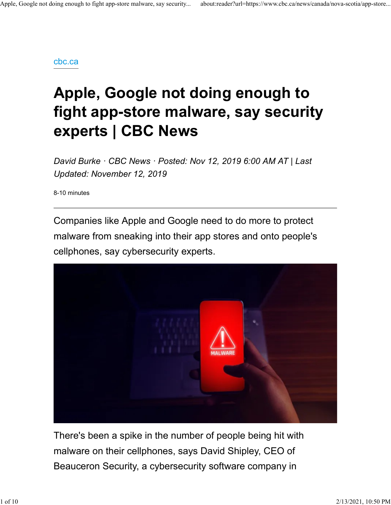#### cbc.ca

# Apple, Google not doing enough to fight app-store malware, say security experts | CBC News

David Burke · CBC News · Posted: Nov 12, 2019 6:00 AM AT | Last Updated: November 12, 2019

8-10 minutes

Companies like Apple and Google need to do more to protect malware from sneaking into their app stores and onto people's cellphones, say cybersecurity experts.



There's been a spike in the number of people being hit with malware on their cellphones, says David Shipley, CEO of Beauceron Security, a cybersecurity software company in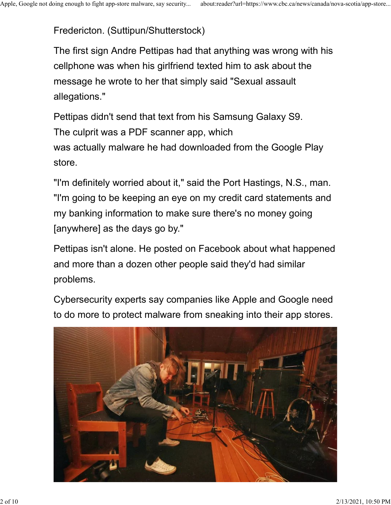Fredericton. (Suttipun/Shutterstock) Apple, Google not doing enough to fight app-store malware, say security... about:reader?url=https://www.cbc.ca/news/canada/nova-scotia/app-store...<br>Fredericton. (Suttipun/Shutterstock)

The first sign Andre Pettipas had that anything was wrong with his cellphone was when his girlfriend texted him to ask about the message he wrote to her that simply said "Sexual assault allegations."

Pettipas didn't send that text from his Samsung Galaxy S9. The culprit was a PDF scanner app, which was actually malware he had downloaded from the Google Play store.

"I'm definitely worried about it," said the Port Hastings, N.S., man. "I'm going to be keeping an eye on my credit card statements and my banking information to make sure there's no money going [anywhere] as the days go by."

Pettipas isn't alone. He posted on Facebook about what happened and more than a dozen other people said they'd had similar problems.

Cybersecurity experts say companies like Apple and Google need to do more to protect malware from sneaking into their app stores.

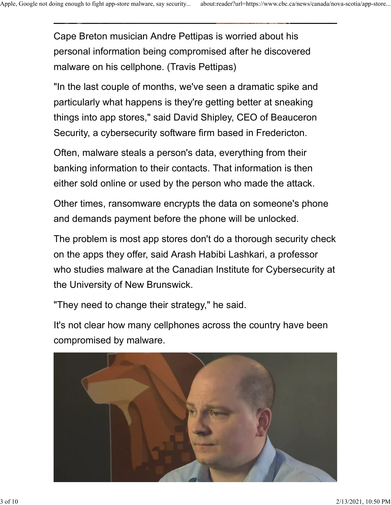Cape Breton musician Andre Pettipas is worried about his personal information being compromised after he discovered malware on his cellphone. (Travis Pettipas) Apple, Google not doing enough to fight app-store malware, say security... about:reader?url=https://www.cbc.ca/news/canada/nova-scotia/app-store...<br> **Cape Breton musician Andre Pettipas is worried about his** 

> "In the last couple of months, we've seen a dramatic spike and particularly what happens is they're getting better at sneaking things into app stores," said David Shipley, CEO of Beauceron Security, a cybersecurity software firm based in Fredericton.

Often, malware steals a person's data, everything from their banking information to their contacts. That information is then either sold online or used by the person who made the attack.

Other times, ransomware encrypts the data on someone's phone and demands payment before the phone will be unlocked.

The problem is most app stores don't do a thorough security check on the apps they offer, said Arash Habibi Lashkari, a professor who studies malware at the Canadian Institute for Cybersecurity at the University of New Brunswick.

"They need to change their strategy," he said.

It's not clear how many cellphones across the country have been compromised by malware.

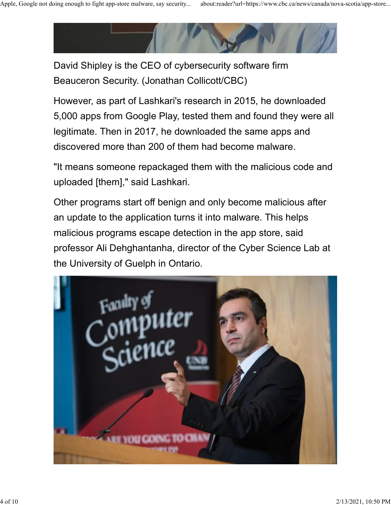

David Shipley is the CEO of cybersecurity software firm Beauceron Security. (Jonathan Collicott/CBC)

However, as part of Lashkari's research in 2015, he downloaded 5,000 apps from Google Play, tested them and found they were all legitimate. Then in 2017, he downloaded the same apps and discovered more than 200 of them had become malware.

"It means someone repackaged them with the malicious code and uploaded [them]," said Lashkari.

Other programs start off benign and only become malicious after an update to the application turns it into malware. This helps malicious programs escape detection in the app store, said professor Ali Dehghantanha, director of the Cyber Science Lab at the University of Guelph in Ontario.

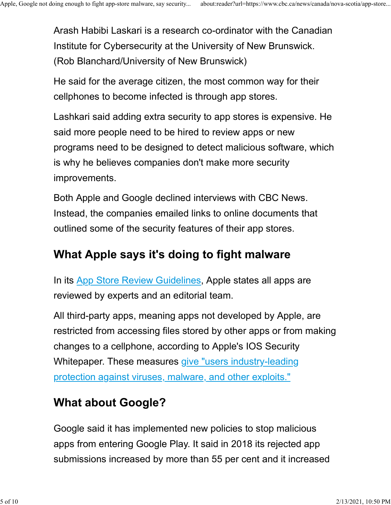Arash Habibi Laskari is a research co-ordinator with the Canadian Institute for Cybersecurity at the University of New Brunswick. (Rob Blanchard/University of New Brunswick) Apple, Google not doing enough to fight app-store malware, say security... about:reader?url=https://www.cbc.ca/news/canada/nova-scotia/app-store...<br>Arash Habibi Laskari is a research co-ordinator with the Canadian<br>Institut

> He said for the average citizen, the most common way for their cellphones to become infected is through app stores.

Lashkari said adding extra security to app stores is expensive. He said more people need to be hired to review apps or new programs need to be designed to detect malicious software, which is why he believes companies don't make more security improvements.

Both Apple and Google declined interviews with CBC News. Instead, the companies emailed links to online documents that outlined some of the security features of their app stores.

### What Apple says it's doing to fight malware

In its App Store Review Guidelines, Apple states all apps are reviewed by experts and an editorial team.

All third-party apps, meaning apps not developed by Apple, are restricted from accessing files stored by other apps or from making changes to a cellphone, according to Apple's IOS Security Whitepaper. These measures give "users industry-leading protection against viruses, malware, and other exploits."

## What about Google?

Google said it has implemented new policies to stop malicious apps from entering Google Play. It said in 2018 its rejected app submissions increased by more than 55 per cent and it increased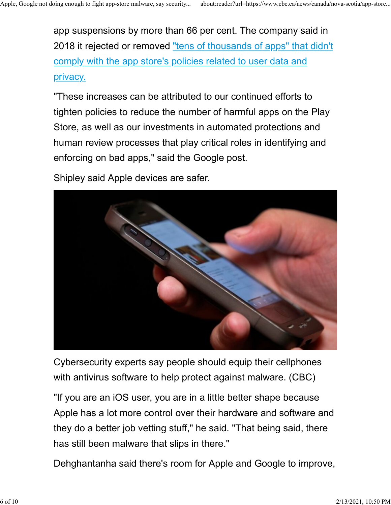app suspensions by more than 66 per cent. The company said in 2018 it rejected or removed "tens of thousands of apps" that didn't comply with the app store's policies related to user data and privacy. Apple, Google not doing enough to fight app-store malware, say security... about:reader?url=https://www.cbc.ca/news/canada/nova-scotia/app-store...<br>app suspensions by more than 66 per cent. The company said in<br>2018 it reje

> "These increases can be attributed to our continued efforts to tighten policies to reduce the number of harmful apps on the Play Store, as well as our investments in automated protections and human review processes that play critical roles in identifying and enforcing on bad apps," said the Google post.

Shipley said Apple devices are safer.



Cybersecurity experts say people should equip their cellphones with antivirus software to help protect against malware. (CBC)

"If you are an iOS user, you are in a little better shape because Apple has a lot more control over their hardware and software and they do a better job vetting stuff," he said. "That being said, there has still been malware that slips in there."

Dehghantanha said there's room for Apple and Google to improve,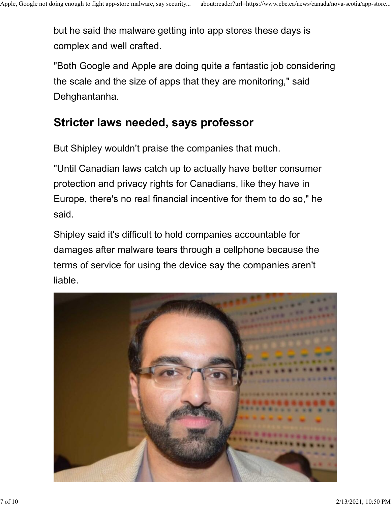but he said the malware getting into app stores these days is complex and well crafted. Apple, Google not doing enough to fight app-store malware, say security... about:reader?url=https://www.cbc.ca/news/canada/nova-scotia/app-store...<br>
but he said the malware getting into app stores these days is<br>
complex an

> "Both Google and Apple are doing quite a fantastic job considering the scale and the size of apps that they are monitoring," said Dehghantanha.

### Stricter laws needed, says professor

But Shipley wouldn't praise the companies that much.

"Until Canadian laws catch up to actually have better consumer protection and privacy rights for Canadians, like they have in Europe, there's no real financial incentive for them to do so," he said.

Shipley said it's difficult to hold companies accountable for damages after malware tears through a cellphone because the terms of service for using the device say the companies aren't liable.

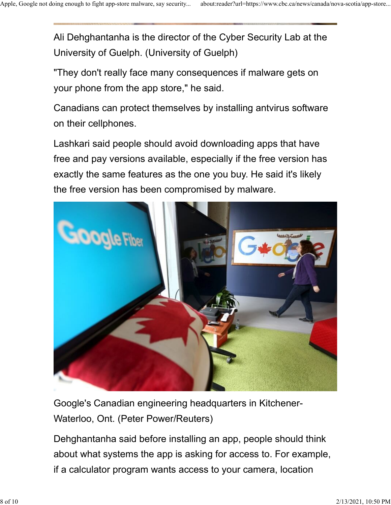Ali Dehghantanha is the director of the Cyber Security Lab at the University of Guelph. (University of Guelph) Apple, Google not doing enough to fight app-store malware, say security... about:reader?url=https://www.cbc.ca/news/canada/nova-scotia/app-store...<br>Ali Dehghantanha is the director of the Cyber Security Lab at the

> "They don't really face many consequences if malware gets on your phone from the app store," he said.

Canadians can protect themselves by installing antvirus software on their cellphones.

Lashkari said people should avoid downloading apps that have free and pay versions available, especially if the free version has exactly the same features as the one you buy. He said it's likely the free version has been compromised by malware.



Google's Canadian engineering headquarters in Kitchener-Waterloo, Ont. (Peter Power/Reuters)

Dehghantanha said before installing an app, people should think about what systems the app is asking for access to. For example, if a calculator program wants access to your camera, location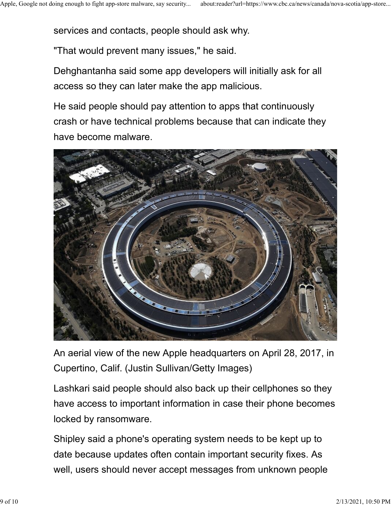services and contacts, people should ask why. Apple, Google not doing enough to fight app-store malware, say security... about:reader?url=https://www.cbc.ca/news/canada/nova-scotia/app-store...<br>Services and contacts, people should ask why.

"That would prevent many issues," he said.

Dehghantanha said some app developers will initially ask for all access so they can later make the app malicious.

He said people should pay attention to apps that continuously crash or have technical problems because that can indicate they have become malware.



An aerial view of the new Apple headquarters on April 28, 2017, in Cupertino, Calif. (Justin Sullivan/Getty Images)

Lashkari said people should also back up their cellphones so they have access to important information in case their phone becomes locked by ransomware.

Shipley said a phone's operating system needs to be kept up to date because updates often contain important security fixes. As well, users should never accept messages from unknown people